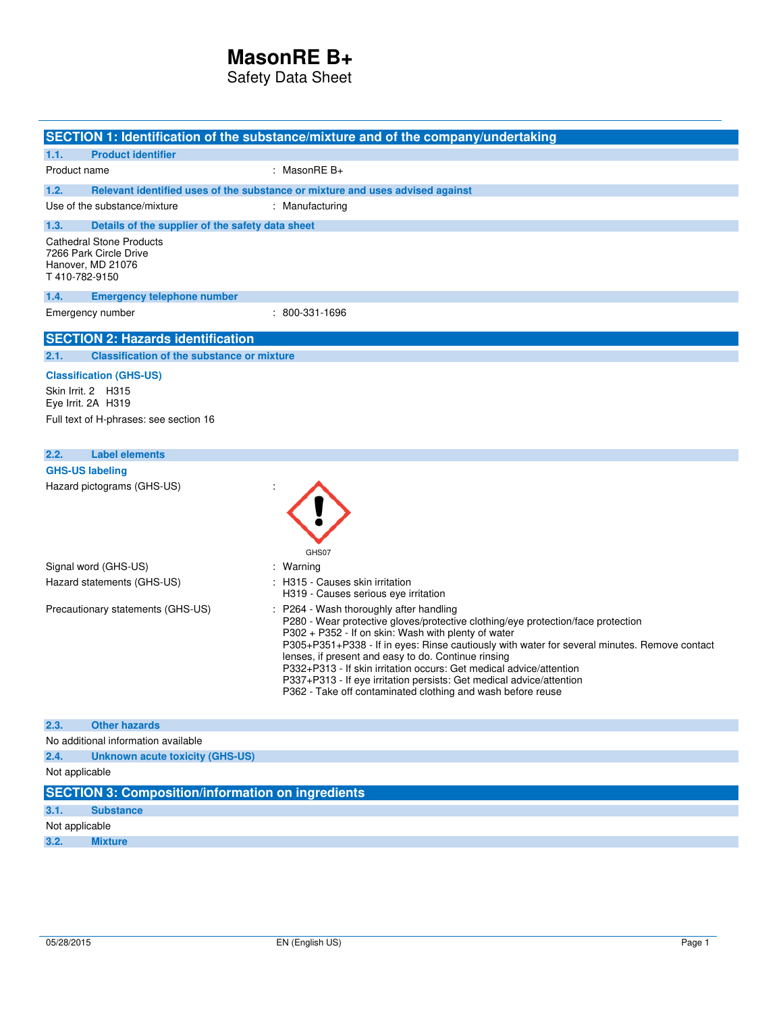Safety Data Sheet

|                                                                                                  | SECTION 1: Identification of the substance/mixture and of the company/undertaking                                                                                                                                                                                                                                                                                                                                                                                                                                                                       |
|--------------------------------------------------------------------------------------------------|---------------------------------------------------------------------------------------------------------------------------------------------------------------------------------------------------------------------------------------------------------------------------------------------------------------------------------------------------------------------------------------------------------------------------------------------------------------------------------------------------------------------------------------------------------|
| 1.1.<br><b>Product identifier</b>                                                                |                                                                                                                                                                                                                                                                                                                                                                                                                                                                                                                                                         |
| Product name                                                                                     | : MasonRE $B+$                                                                                                                                                                                                                                                                                                                                                                                                                                                                                                                                          |
| 1.2.                                                                                             | Relevant identified uses of the substance or mixture and uses advised against                                                                                                                                                                                                                                                                                                                                                                                                                                                                           |
| Use of the substance/mixture                                                                     | : Manufacturing                                                                                                                                                                                                                                                                                                                                                                                                                                                                                                                                         |
| 1.3.<br>Details of the supplier of the safety data sheet                                         |                                                                                                                                                                                                                                                                                                                                                                                                                                                                                                                                                         |
| <b>Cathedral Stone Products</b><br>7266 Park Circle Drive<br>Hanover, MD 21076<br>T 410-782-9150 |                                                                                                                                                                                                                                                                                                                                                                                                                                                                                                                                                         |
| 1.4.<br><b>Emergency telephone number</b>                                                        |                                                                                                                                                                                                                                                                                                                                                                                                                                                                                                                                                         |
| Emergency number                                                                                 | : 800-331-1696                                                                                                                                                                                                                                                                                                                                                                                                                                                                                                                                          |
| <b>SECTION 2: Hazards identification</b>                                                         |                                                                                                                                                                                                                                                                                                                                                                                                                                                                                                                                                         |
| <b>Classification of the substance or mixture</b><br>2.1.                                        |                                                                                                                                                                                                                                                                                                                                                                                                                                                                                                                                                         |
| <b>Classification (GHS-US)</b>                                                                   |                                                                                                                                                                                                                                                                                                                                                                                                                                                                                                                                                         |
| Skin Irrit. 2 H315<br>Eye Irrit. 2A H319                                                         |                                                                                                                                                                                                                                                                                                                                                                                                                                                                                                                                                         |
| Full text of H-phrases: see section 16                                                           |                                                                                                                                                                                                                                                                                                                                                                                                                                                                                                                                                         |
|                                                                                                  |                                                                                                                                                                                                                                                                                                                                                                                                                                                                                                                                                         |
| <b>Label elements</b><br>2.2.                                                                    |                                                                                                                                                                                                                                                                                                                                                                                                                                                                                                                                                         |
| <b>GHS-US labeling</b>                                                                           |                                                                                                                                                                                                                                                                                                                                                                                                                                                                                                                                                         |
| Hazard pictograms (GHS-US)                                                                       | GHS07                                                                                                                                                                                                                                                                                                                                                                                                                                                                                                                                                   |
| Signal word (GHS-US)                                                                             | : Warning                                                                                                                                                                                                                                                                                                                                                                                                                                                                                                                                               |
| Hazard statements (GHS-US)                                                                       | : H315 - Causes skin irritation<br>H319 - Causes serious eye irritation                                                                                                                                                                                                                                                                                                                                                                                                                                                                                 |
| Precautionary statements (GHS-US)                                                                | : P264 - Wash thoroughly after handling<br>P280 - Wear protective gloves/protective clothing/eye protection/face protection<br>P302 + P352 - If on skin: Wash with plenty of water<br>P305+P351+P338 - If in eyes: Rinse cautiously with water for several minutes. Remove contact<br>lenses, if present and easy to do. Continue rinsing<br>P332+P313 - If skin irritation occurs: Get medical advice/attention<br>P337+P313 - If eye irritation persists: Get medical advice/attention<br>P362 - Take off contaminated clothing and wash before reuse |
| 2.3.<br><b>Other hazards</b>                                                                     |                                                                                                                                                                                                                                                                                                                                                                                                                                                                                                                                                         |
| No additional information available                                                              |                                                                                                                                                                                                                                                                                                                                                                                                                                                                                                                                                         |
| 2.4.<br>Unknown acute toxicity (GHS-US)                                                          |                                                                                                                                                                                                                                                                                                                                                                                                                                                                                                                                                         |
| Not applicable                                                                                   |                                                                                                                                                                                                                                                                                                                                                                                                                                                                                                                                                         |
| <b>SECTION 3: Composition/information on ingredients</b>                                         |                                                                                                                                                                                                                                                                                                                                                                                                                                                                                                                                                         |
| 3.1.<br><b>Substance</b>                                                                         |                                                                                                                                                                                                                                                                                                                                                                                                                                                                                                                                                         |
| Not applicable                                                                                   |                                                                                                                                                                                                                                                                                                                                                                                                                                                                                                                                                         |
| 3.2.<br><b>Mixture</b>                                                                           |                                                                                                                                                                                                                                                                                                                                                                                                                                                                                                                                                         |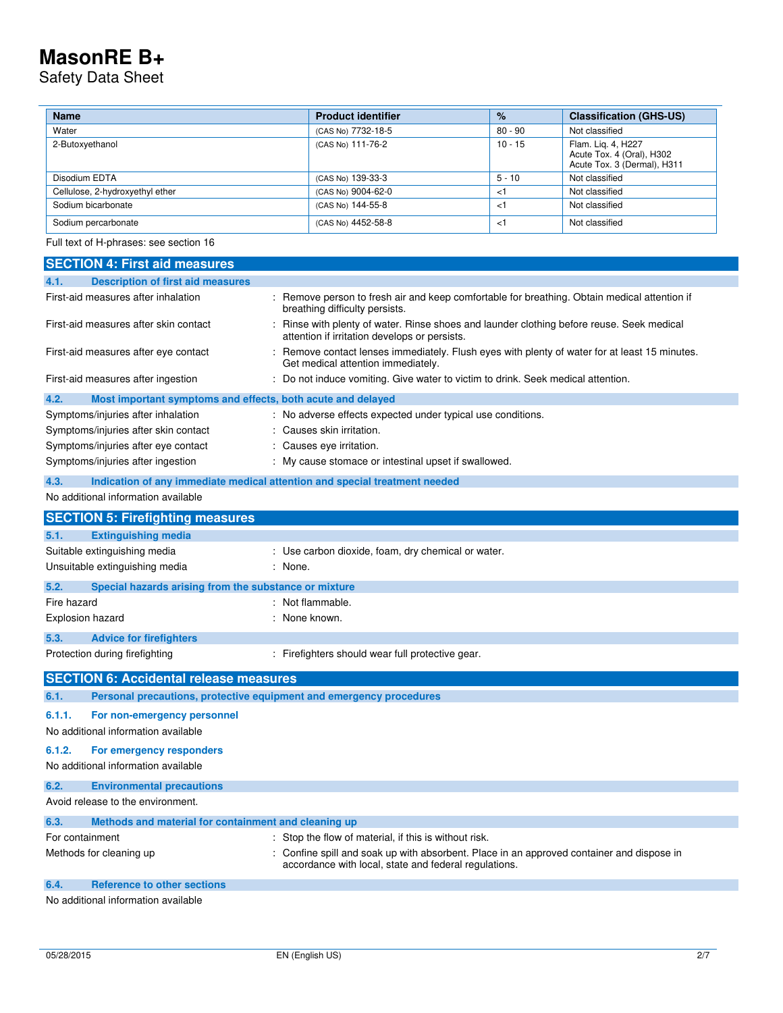Safety Data Sheet

 $\overline{a}$ 

| <b>Name</b>                     | <b>Product identifier</b> | $\%$      | <b>Classification (GHS-US)</b>                                                 |
|---------------------------------|---------------------------|-----------|--------------------------------------------------------------------------------|
| Water                           | (CAS No) 7732-18-5        | 80 - 90   | Not classified                                                                 |
| 2-Butoxyethanol                 | (CAS No) 111-76-2         | $10 - 15$ | Flam. Lig. 4, H227<br>Acute Tox. 4 (Oral), H302<br>Acute Tox. 3 (Dermal), H311 |
| Disodium EDTA                   | (CAS No) 139-33-3         | $5 - 10$  | Not classified                                                                 |
| Cellulose, 2-hydroxyethyl ether | (CAS No) 9004-62-0        | $\lt'$    | Not classified                                                                 |
| Sodium bicarbonate              | (CAS No) 144-55-8         | $\lt'$    | Not classified                                                                 |
| Sodium percarbonate             | (CAS No) 4452-58-8        | ا>        | Not classified                                                                 |

Full text of H-phrases: see section 16

| <b>SECTION 4: First aid measures</b>                                        |                                                                                                                                                  |
|-----------------------------------------------------------------------------|--------------------------------------------------------------------------------------------------------------------------------------------------|
| <b>Description of first aid measures</b><br>4.1.                            |                                                                                                                                                  |
| First-aid measures after inhalation                                         | : Remove person to fresh air and keep comfortable for breathing. Obtain medical attention if<br>breathing difficulty persists.                   |
| First-aid measures after skin contact                                       | Rinse with plenty of water. Rinse shoes and launder clothing before reuse. Seek medical<br>attention if irritation develops or persists.         |
| First-aid measures after eye contact                                        | : Remove contact lenses immediately. Flush eyes with plenty of water for at least 15 minutes.<br>Get medical attention immediately.              |
| First-aid measures after ingestion                                          | : Do not induce vomiting. Give water to victim to drink. Seek medical attention.                                                                 |
| 4.2.<br>Most important symptoms and effects, both acute and delayed         |                                                                                                                                                  |
| Symptoms/injuries after inhalation                                          | : No adverse effects expected under typical use conditions.                                                                                      |
| Symptoms/injuries after skin contact                                        | : Causes skin irritation.                                                                                                                        |
| Symptoms/injuries after eye contact                                         | : Causes eye irritation.                                                                                                                         |
| Symptoms/injuries after ingestion                                           | : My cause stomace or intestinal upset if swallowed.                                                                                             |
| 4.3.                                                                        | Indication of any immediate medical attention and special treatment needed                                                                       |
| No additional information available                                         |                                                                                                                                                  |
| <b>SECTION 5: Firefighting measures</b>                                     |                                                                                                                                                  |
| 5.1.<br><b>Extinguishing media</b>                                          |                                                                                                                                                  |
| Suitable extinguishing media                                                | : Use carbon dioxide, foam, dry chemical or water.                                                                                               |
| Unsuitable extinguishing media                                              | : None.                                                                                                                                          |
| 5.2.<br>Special hazards arising from the substance or mixture               |                                                                                                                                                  |
| Fire hazard                                                                 | : Not flammable.                                                                                                                                 |
| Explosion hazard                                                            | : None known.                                                                                                                                    |
| 5.3.<br><b>Advice for firefighters</b>                                      |                                                                                                                                                  |
| Protection during firefighting                                              | : Firefighters should wear full protective gear.                                                                                                 |
| <b>SECTION 6: Accidental release measures</b>                               |                                                                                                                                                  |
| Personal precautions, protective equipment and emergency procedures<br>6.1. |                                                                                                                                                  |
| 6.1.1.                                                                      |                                                                                                                                                  |
| For non-emergency personnel<br>No additional information available          |                                                                                                                                                  |
| 6.1.2.<br>For emergency responders                                          |                                                                                                                                                  |
| No additional information available                                         |                                                                                                                                                  |
| 6.2.<br><b>Environmental precautions</b>                                    |                                                                                                                                                  |
| Avoid release to the environment.                                           |                                                                                                                                                  |
| 6.3.<br>Methods and material for containment and cleaning up                |                                                                                                                                                  |
| For containment                                                             | Stop the flow of material, if this is without risk.                                                                                              |
| Methods for cleaning up                                                     | Confine spill and soak up with absorbent. Place in an approved container and dispose in<br>accordance with local, state and federal regulations. |
| <b>Reference to other sections</b><br>6.4.                                  |                                                                                                                                                  |
| No additional information available                                         |                                                                                                                                                  |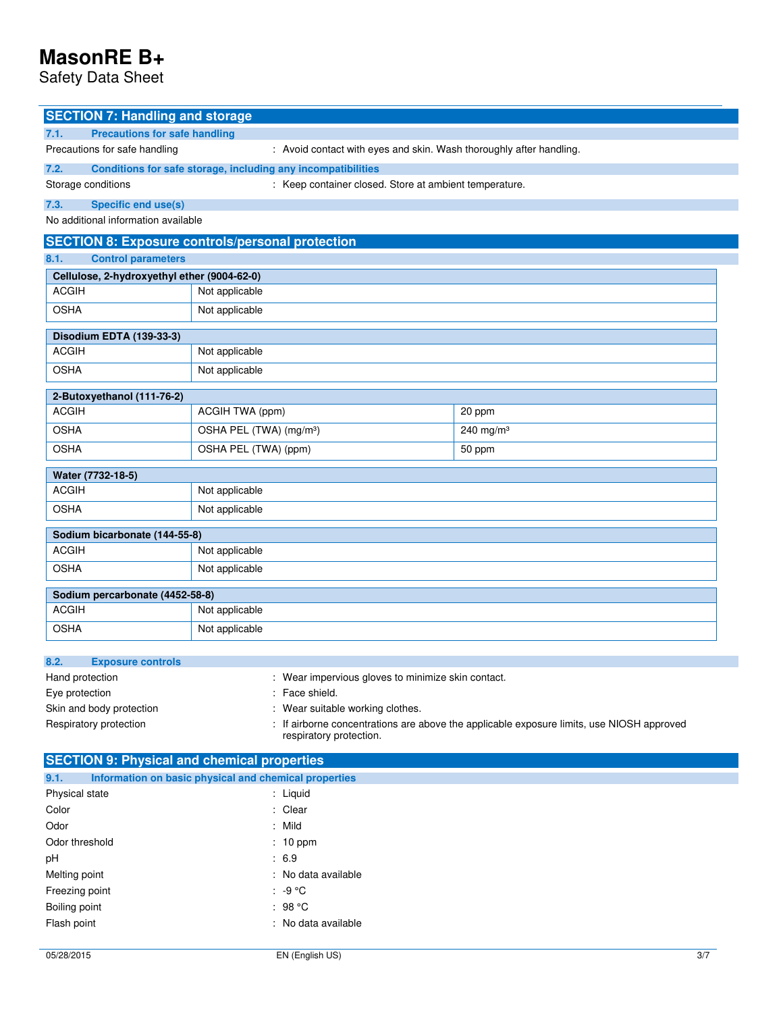Safety Data Sheet

| <b>SECTION 7: Handling and storage</b>                                                                                                         |                                                                      |              |  |  |
|------------------------------------------------------------------------------------------------------------------------------------------------|----------------------------------------------------------------------|--------------|--|--|
| <b>Precautions for safe handling</b><br>7.1.                                                                                                   |                                                                      |              |  |  |
| Precautions for safe handling<br>: Avoid contact with eyes and skin. Wash thoroughly after handling.                                           |                                                                      |              |  |  |
| 7.2.                                                                                                                                           | Conditions for safe storage, including any incompatibilities         |              |  |  |
| Storage conditions                                                                                                                             | : Keep container closed. Store at ambient temperature.               |              |  |  |
| <b>Specific end use(s)</b><br>7.3.                                                                                                             |                                                                      |              |  |  |
| No additional information available                                                                                                            |                                                                      |              |  |  |
|                                                                                                                                                | <b>SECTION 8: Exposure controls/personal protection</b>              |              |  |  |
| 8.1.<br><b>Control parameters</b>                                                                                                              |                                                                      |              |  |  |
| Cellulose, 2-hydroxyethyl ether (9004-62-0)                                                                                                    |                                                                      |              |  |  |
| <b>ACGIH</b>                                                                                                                                   | Not applicable                                                       |              |  |  |
| <b>OSHA</b>                                                                                                                                    | Not applicable                                                       |              |  |  |
| Disodium EDTA (139-33-3)                                                                                                                       |                                                                      |              |  |  |
| <b>ACGIH</b>                                                                                                                                   | Not applicable                                                       |              |  |  |
| <b>OSHA</b>                                                                                                                                    | Not applicable                                                       |              |  |  |
| 2-Butoxyethanol (111-76-2)                                                                                                                     |                                                                      |              |  |  |
| <b>ACGIH</b>                                                                                                                                   | ACGIH TWA (ppm)                                                      | 20 ppm       |  |  |
| <b>OSHA</b>                                                                                                                                    | OSHA PEL (TWA) (mg/m <sup>3</sup> )                                  | 240 mg/m $3$ |  |  |
| <b>OSHA</b>                                                                                                                                    | OSHA PEL (TWA) (ppm)                                                 | 50 ppm       |  |  |
| Water (7732-18-5)                                                                                                                              |                                                                      |              |  |  |
| <b>ACGIH</b>                                                                                                                                   | Not applicable                                                       |              |  |  |
| <b>OSHA</b>                                                                                                                                    | Not applicable                                                       |              |  |  |
| Sodium bicarbonate (144-55-8)                                                                                                                  |                                                                      |              |  |  |
| <b>ACGIH</b>                                                                                                                                   | Not applicable                                                       |              |  |  |
| <b>OSHA</b>                                                                                                                                    | Not applicable                                                       |              |  |  |
| Sodium percarbonate (4452-58-8)                                                                                                                |                                                                      |              |  |  |
| <b>ACGIH</b>                                                                                                                                   | Not applicable                                                       |              |  |  |
| <b>OSHA</b>                                                                                                                                    | Not applicable                                                       |              |  |  |
|                                                                                                                                                |                                                                      |              |  |  |
| 8.2.<br><b>Exposure controls</b><br>Hand protection                                                                                            |                                                                      |              |  |  |
| Eye protection                                                                                                                                 | : Wear impervious gloves to minimize skin contact.<br>: Face shield. |              |  |  |
| Skin and body protection                                                                                                                       | : Wear suitable working clothes.                                     |              |  |  |
| Respiratory protection<br>: If airborne concentrations are above the applicable exposure limits, use NIOSH approved<br>respiratory protection. |                                                                      |              |  |  |
| <b>SECTION 9: Physical and chemical properties</b>                                                                                             |                                                                      |              |  |  |

| 9.1.           | Information on basic physical and chemical properties |
|----------------|-------------------------------------------------------|
| Physical state | : Liquid                                              |
| Color          | : Clear                                               |
| Odor           | : Mild                                                |
| Odor threshold | $: 10$ ppm                                            |
| рH             | : 6.9                                                 |
| Melting point  | : No data available                                   |
| Freezing point | $: -9 \degree C$                                      |
| Boiling point  | : 98 $^{\circ}$ C                                     |
| Flash point    | : No data available                                   |
|                |                                                       |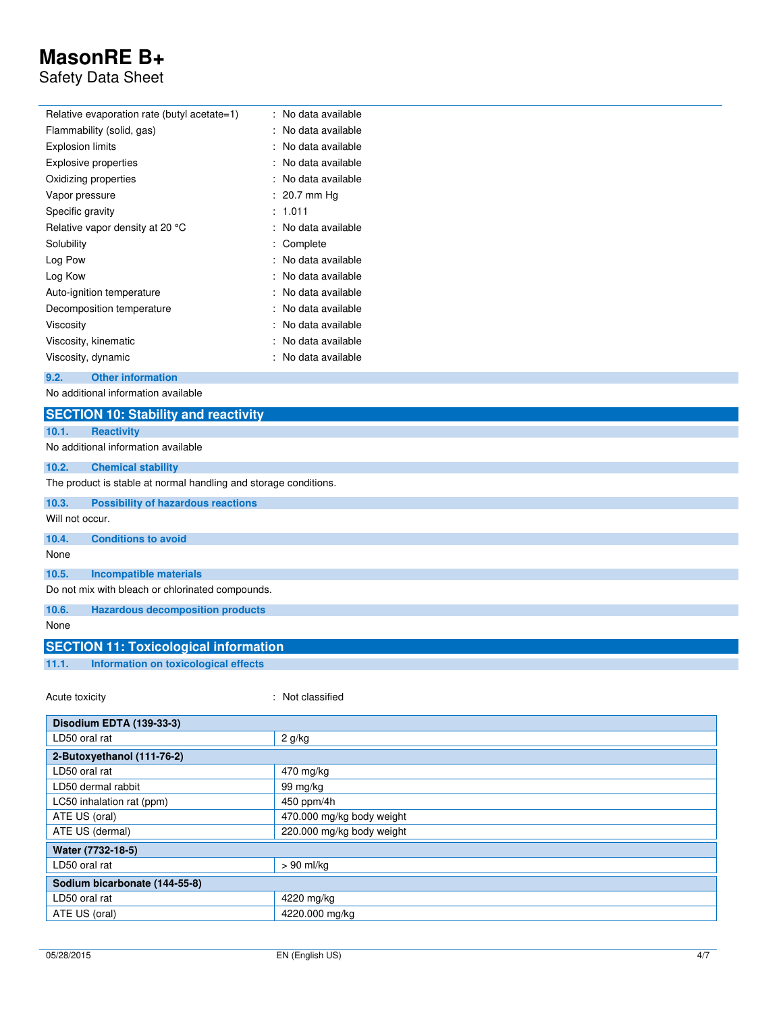### Safety Data Sheet

| No data available |
|-------------------|
| No data available |
| No data available |
| No data available |
| No data available |
| : 20.7 mm Hq      |
| 1.011             |
| No data available |
| Complete          |
| No data available |
| No data available |
| No data available |
| No data available |
| No data available |
| No data available |
| No data available |
|                   |

**9.2. Other information**

No additional information available

|                                                  | <b>SECTION 10: Stability and reactivity</b>                      |  |  |
|--------------------------------------------------|------------------------------------------------------------------|--|--|
| 10.1.                                            | <b>Reactivity</b>                                                |  |  |
|                                                  | No additional information available                              |  |  |
| 10.2.                                            | <b>Chemical stability</b>                                        |  |  |
|                                                  | The product is stable at normal handling and storage conditions. |  |  |
| 10.3.                                            | <b>Possibility of hazardous reactions</b>                        |  |  |
| Will not occur.                                  |                                                                  |  |  |
| 10.4.                                            | <b>Conditions to avoid</b>                                       |  |  |
| None                                             |                                                                  |  |  |
| 10.5.                                            | <b>Incompatible materials</b>                                    |  |  |
| Do not mix with bleach or chlorinated compounds. |                                                                  |  |  |
| 10.6.                                            | <b>Hazardous decomposition products</b>                          |  |  |
| None                                             |                                                                  |  |  |
|                                                  | <b>SECTION 11: Toxicological information</b>                     |  |  |
| 11.1.                                            | Information on toxicological effects                             |  |  |
|                                                  |                                                                  |  |  |

Acute toxicity **in the case of the contract of the contract of the contract of the contract of the contract of the contract of the contract of the contract of the contract of the contract of the contract of the contract of** 

| Disodium EDTA (139-33-3)      |                           |  |
|-------------------------------|---------------------------|--|
| LD50 oral rat                 | 2 g/kg                    |  |
| 2-Butoxyethanol (111-76-2)    |                           |  |
| LD50 oral rat                 | 470 mg/kg                 |  |
| LD50 dermal rabbit            | 99 mg/kg                  |  |
| LC50 inhalation rat (ppm)     | 450 ppm/4h                |  |
| ATE US (oral)                 | 470.000 mg/kg body weight |  |
| ATE US (dermal)               | 220.000 mg/kg body weight |  |
| Water (7732-18-5)             |                           |  |
| LD50 oral rat                 | $> 90$ ml/kg              |  |
| Sodium bicarbonate (144-55-8) |                           |  |
| LD50 oral rat                 | 4220 mg/kg                |  |
| ATE US (oral)                 | 4220.000 mg/kg            |  |
|                               |                           |  |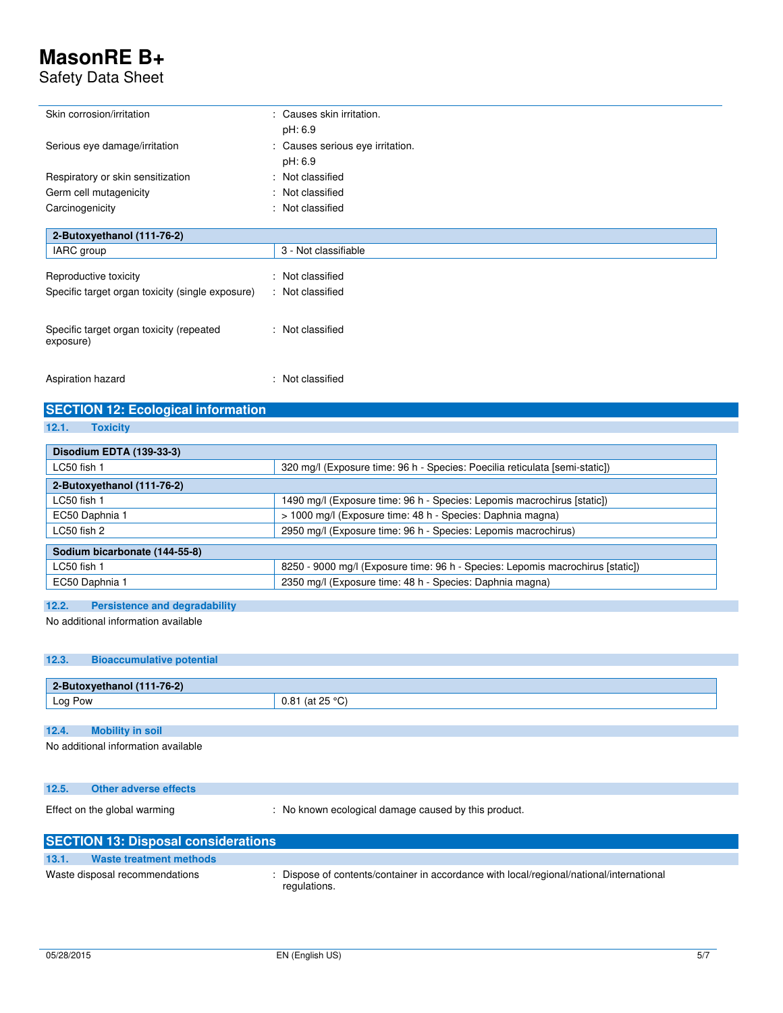### Safety Data Sheet

| Skin corrosion/irritation                        | : Causes skin irritation.        |
|--------------------------------------------------|----------------------------------|
|                                                  | pH: 6.9                          |
| Serious eye damage/irritation                    | : Causes serious eye irritation. |
|                                                  | pH: 6.9                          |
| Respiratory or skin sensitization                | : Not classified                 |
| Germ cell mutagenicity                           | : Not classified                 |
| Carcinogenicity                                  | : Not classified                 |
|                                                  |                                  |
| 2-Butoxyethanol (111-76-2)                       |                                  |
| IARC group                                       | 3 - Not classifiable             |
| Reproductive toxicity                            | Not classified<br>÷              |
| Specific target organ toxicity (single exposure) | : Not classified                 |
|                                                  |                                  |
| Specific target organ toxicity (repeated         | : Not classified                 |
| exposure)                                        |                                  |
|                                                  |                                  |
| Aspiration hazard                                | : Not classified                 |
|                                                  |                                  |

### **SECTION 12: Ecological information**

**12.1. Toxicity** 

| Disodium EDTA (139-33-3)      |                                                                                |  |
|-------------------------------|--------------------------------------------------------------------------------|--|
| LC50 fish 1                   | 320 mg/l (Exposure time: 96 h - Species: Poecilia reticulata [semi-static])    |  |
| 2-Butoxyethanol (111-76-2)    |                                                                                |  |
| LC50 fish 1                   | 1490 mg/l (Exposure time: 96 h - Species: Lepomis macrochirus [static])        |  |
| EC50 Daphnia 1                | > 1000 mg/l (Exposure time: 48 h - Species: Daphnia magna)                     |  |
| LC50 fish 2                   | 2950 mg/l (Exposure time: 96 h - Species: Lepomis macrochirus)                 |  |
| Sodium bicarbonate (144-55-8) |                                                                                |  |
| LC50 fish 1                   | 8250 - 9000 mg/l (Exposure time: 96 h - Species: Lepomis macrochirus [static]) |  |
| EC50 Daphnia 1                | 2350 mg/l (Exposure time: 48 h - Species: Daphnia magna)                       |  |

#### **12.2. Persistence and degradability**

No additional information available

#### **12.3. Bioaccumulative potential**

| 2-Butoxyethanol (111-76-2) |     |
|----------------------------|-----|
| Log Pow                    | v.v |
|                            |     |

### **12.4. Mobility in soil**

No additional information available

| 12.5. | Other adverse effects        |                                                    |
|-------|------------------------------|----------------------------------------------------|
|       | Effect on the global warming | No known ecological damage caused by this product. |

#### **SECTION 13: Disposal considerations 13.1. Waste treatment methods**

Waste disposal recommendations : Dispose of contents/container in accordance with local/regional/national/international regulations.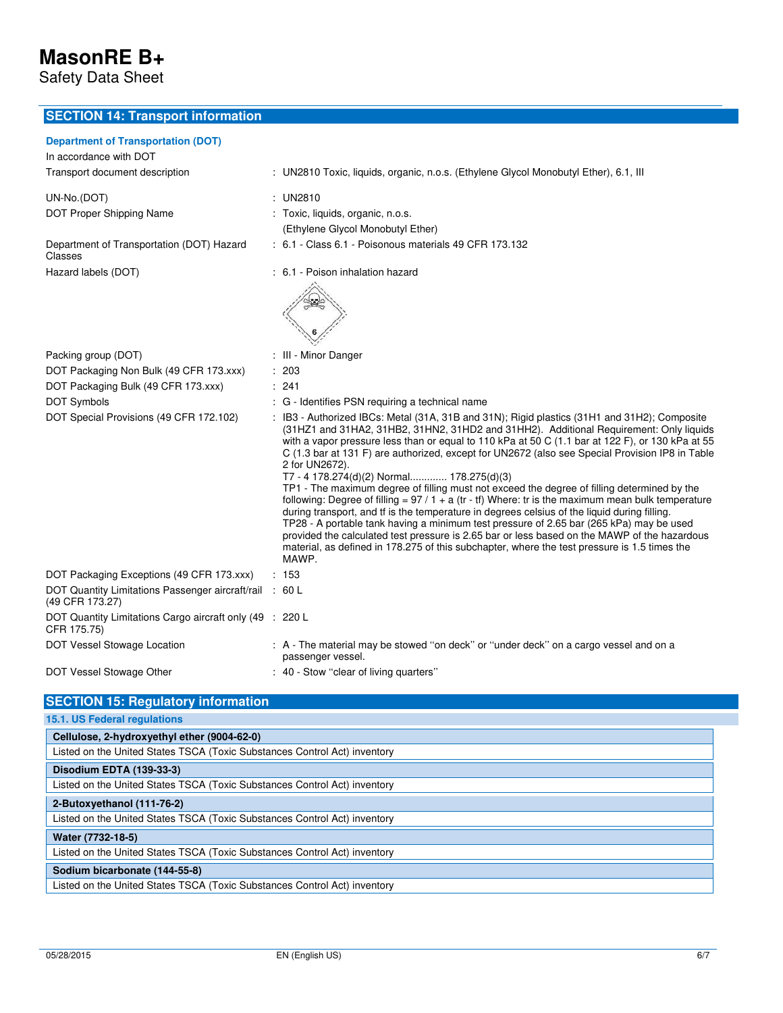Safety Data Sheet

### **SECTION 14: Transport information**

### **Department of Transportation (DOT)**

| Department of Transportation (DOT)<br>In accordance with DOT               |                                                                                                                                                                                                                                                                                                                                                                                                                                                                                                                                                                                                                                                                                                                                                                                                                                                                                                                                                                                                                                                                       |
|----------------------------------------------------------------------------|-----------------------------------------------------------------------------------------------------------------------------------------------------------------------------------------------------------------------------------------------------------------------------------------------------------------------------------------------------------------------------------------------------------------------------------------------------------------------------------------------------------------------------------------------------------------------------------------------------------------------------------------------------------------------------------------------------------------------------------------------------------------------------------------------------------------------------------------------------------------------------------------------------------------------------------------------------------------------------------------------------------------------------------------------------------------------|
| Transport document description                                             | : UN2810 Toxic, liquids, organic, n.o.s. (Ethylene Glycol Monobutyl Ether), 6.1, Ill                                                                                                                                                                                                                                                                                                                                                                                                                                                                                                                                                                                                                                                                                                                                                                                                                                                                                                                                                                                  |
| UN-No.(DOT)<br>DOT Proper Shipping Name                                    | : UN2810<br>: Toxic, liquids, organic, n.o.s.                                                                                                                                                                                                                                                                                                                                                                                                                                                                                                                                                                                                                                                                                                                                                                                                                                                                                                                                                                                                                         |
|                                                                            | (Ethylene Glycol Monobutyl Ether)                                                                                                                                                                                                                                                                                                                                                                                                                                                                                                                                                                                                                                                                                                                                                                                                                                                                                                                                                                                                                                     |
| Department of Transportation (DOT) Hazard<br>Classes                       | : 6.1 - Class 6.1 - Poisonous materials 49 CFR 173.132                                                                                                                                                                                                                                                                                                                                                                                                                                                                                                                                                                                                                                                                                                                                                                                                                                                                                                                                                                                                                |
| Hazard labels (DOT)                                                        | : 6.1 - Poison inhalation hazard                                                                                                                                                                                                                                                                                                                                                                                                                                                                                                                                                                                                                                                                                                                                                                                                                                                                                                                                                                                                                                      |
| Packing group (DOT)                                                        | : III - Minor Danger                                                                                                                                                                                                                                                                                                                                                                                                                                                                                                                                                                                                                                                                                                                                                                                                                                                                                                                                                                                                                                                  |
| DOT Packaging Non Bulk (49 CFR 173.xxx)                                    | : 203                                                                                                                                                                                                                                                                                                                                                                                                                                                                                                                                                                                                                                                                                                                                                                                                                                                                                                                                                                                                                                                                 |
| DOT Packaging Bulk (49 CFR 173.xxx)                                        | : 241                                                                                                                                                                                                                                                                                                                                                                                                                                                                                                                                                                                                                                                                                                                                                                                                                                                                                                                                                                                                                                                                 |
| <b>DOT Symbols</b>                                                         | : G - Identifies PSN requiring a technical name                                                                                                                                                                                                                                                                                                                                                                                                                                                                                                                                                                                                                                                                                                                                                                                                                                                                                                                                                                                                                       |
| DOT Special Provisions (49 CFR 172.102)                                    | : IB3 - Authorized IBCs: Metal (31A, 31B and 31N); Rigid plastics (31H1 and 31H2); Composite<br>(31HZ1 and 31HA2, 31HB2, 31HN2, 31HD2 and 31HH2). Additional Requirement: Only liquids<br>with a vapor pressure less than or equal to 110 kPa at 50 C (1.1 bar at 122 F), or 130 kPa at 55<br>C (1.3 bar at 131 F) are authorized, except for UN2672 (also see Special Provision IP8 in Table<br>2 for UN2672).<br>T7 - 4 178.274(d)(2) Normal 178.275(d)(3)<br>TP1 - The maximum degree of filling must not exceed the degree of filling determined by the<br>following: Degree of filling = $97/1 + a$ (tr - tf) Where: tr is the maximum mean bulk temperature<br>during transport, and tf is the temperature in degrees celsius of the liquid during filling.<br>TP28 - A portable tank having a minimum test pressure of 2.65 bar (265 kPa) may be used<br>provided the calculated test pressure is 2.65 bar or less based on the MAWP of the hazardous<br>material, as defined in 178.275 of this subchapter, where the test pressure is 1.5 times the<br>MAWP. |
| DOT Packaging Exceptions (49 CFR 173.xxx)                                  | : 153                                                                                                                                                                                                                                                                                                                                                                                                                                                                                                                                                                                                                                                                                                                                                                                                                                                                                                                                                                                                                                                                 |
| DOT Quantity Limitations Passenger aircraft/rail : 60 L<br>(49 CFR 173.27) |                                                                                                                                                                                                                                                                                                                                                                                                                                                                                                                                                                                                                                                                                                                                                                                                                                                                                                                                                                                                                                                                       |
| DOT Quantity Limitations Cargo aircraft only (49 : 220 L<br>CFR 175.75)    |                                                                                                                                                                                                                                                                                                                                                                                                                                                                                                                                                                                                                                                                                                                                                                                                                                                                                                                                                                                                                                                                       |
| DOT Vessel Stowage Location                                                | : A - The material may be stowed "on deck" or "under deck" on a cargo vessel and on a<br>passenger vessel.                                                                                                                                                                                                                                                                                                                                                                                                                                                                                                                                                                                                                                                                                                                                                                                                                                                                                                                                                            |
| DOT Vessel Stowage Other                                                   | : 40 - Stow "clear of living quarters"                                                                                                                                                                                                                                                                                                                                                                                                                                                                                                                                                                                                                                                                                                                                                                                                                                                                                                                                                                                                                                |

| <b>SECTION 15: Regulatory information</b>                                 |  |  |  |
|---------------------------------------------------------------------------|--|--|--|
| <b>15.1. US Federal regulations</b>                                       |  |  |  |
| Cellulose, 2-hydroxyethyl ether (9004-62-0)                               |  |  |  |
| Listed on the United States TSCA (Toxic Substances Control Act) inventory |  |  |  |
| Disodium EDTA (139-33-3)                                                  |  |  |  |
| Listed on the United States TSCA (Toxic Substances Control Act) inventory |  |  |  |
| 2-Butoxyethanol (111-76-2)                                                |  |  |  |
| Listed on the United States TSCA (Toxic Substances Control Act) inventory |  |  |  |
| Water (7732-18-5)                                                         |  |  |  |
| Listed on the United States TSCA (Toxic Substances Control Act) inventory |  |  |  |
| Sodium bicarbonate (144-55-8)                                             |  |  |  |
| Listed on the United States TSCA (Toxic Substances Control Act) inventory |  |  |  |